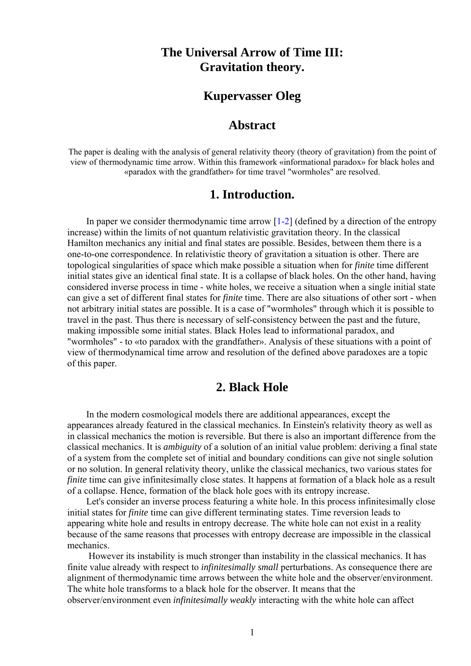# **The Universal Arrow of Time III: Gravitation theory.**

## **Kupervasser Oleg**

### **Abstract**

The paper is dealing with the analysis of general relativity theory (theory of gravitation) from the point of view of thermodynamic time arrow. Within this framework «informational paradox» for black holes and «paradox with the grandfather» for time travel "wormholes" are resolved.

### **1. Introduction.**

In paper we consider thermodynamic time arrow  $[1-2]$  (defined by a direction of the entropy increase) within the limits of not quantum relativistic gravitation theory. In the classical Hamilton mechanics any initial and final states are possible. Besides, between them there is a one-to-one correspondence. In relativistic theory of gravitation a situation is other. There are topological singularities of space which make possible a situation when for *finite* time different initial states give an identical final state. It is a collapse of black holes. On the other hand, having considered inverse process in time - white holes, we receive a situation when a single initial state can give a set of different final states for *finite* time. There are also situations of other sort - when not arbitrary initial states are possible. It is a case of "wormholes" through which it is possible to travel in the past. Thus there is necessary of self-consistency between the past and the future, making impossible some initial states. Black Holes lead to informational paradox, and "wormholes" - to «to paradox with the grandfather». Analysis of these situations with a point of view of thermodynamical time arrow and resolution of the defined above paradoxes are a topic of this paper.

### **2. Black Hole**

 In the modern cosmological models there are additional appearances, except the appearances already featured in the classical mechanics. In Einstein's relativity theory as well as in classical mechanics the motion is reversible. But there is also an important difference from the classical mechanics. It is *ambiguity* of a solution of an initial value problem: deriving a final state of a system from the complete set of initial and boundary conditions can give not single solution or no solution. In general relativity theory, unlike the classical mechanics, two various states for *finite* time can give infinitesimally close states. It happens at formation of a black hole as a result of a collapse. Hence, formation of the black hole goes with its entropy increase.

 Let's consider an inverse process featuring a white hole. In this process infinitesimally close initial states for *finite* time can give different terminating states. Time reversion leads to appearing white hole and results in entropy decrease. The white hole can not exist in a reality because of the same reasons that processes with entropy decrease are impossible in the classical mechanics.

 However its instability is much stronger than instability in the classical mechanics. It has finite value already with respect to *infinitesimally small* perturbations. As consequence there are alignment of thermodynamic time arrows between the white hole and the observer/environment. The white hole transforms to a black hole for the observer. It means that the observer/environment even *infinitesimally weakly* interacting with the white hole can affect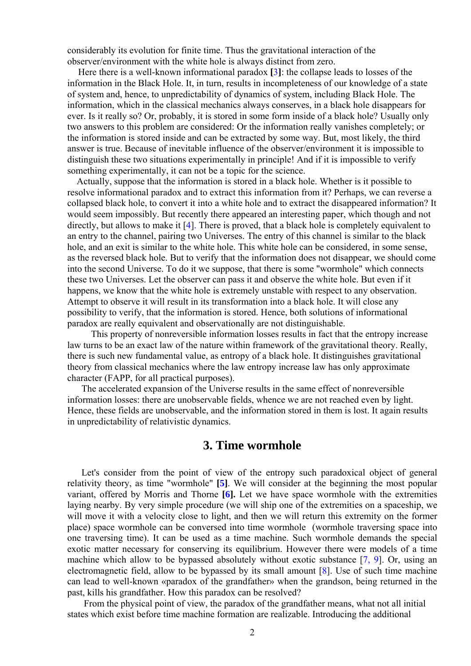considerably its evolution for finite time. Thus the gravitational interaction of the observer/environment with the white hole is always distinct from zero.

 Here there is a well-known informational paradox **[**3**]**: the collapse leads to losses of the information in the Black Hole. It, in turn, results in incompleteness of our knowledge of a state of system and, hence, to unpredictability of dynamics of system, including Black Hole. The information, which in the classical mechanics always conserves, in a black hole disappears for ever. Is it really so? Or, probably, it is stored in some form inside of a black hole? Usually only two answers to this problem are considered: Or the information really vanishes completely; or the information is stored inside and can be extracted by some way. But, most likely, the third answer is true. Because of inevitable influence of the observer/environment it is impossible to distinguish these two situations experimentally in principle! And if it is impossible to verify something experimentally, it can not be a topic for the science.

 Actually, suppose that the information is stored in a black hole. Whether is it possible to resolve informational paradox and to extract this information from it? Perhaps, we can reverse a collapsed black hole, to convert it into a white hole and to extract the disappeared information? It would seem impossibly. But recently there appeared an interesting paper, which though and not directly, but allows to make it [4]. There is proved, that a black hole is completely equivalent to an entry to the channel, pairing two Universes. The entry of this channel is similar to the black hole, and an exit is similar to the white hole. This white hole can be considered, in some sense, as the reversed black hole. But to verify that the information does not disappear, we should come into the second Universe. To do it we suppose, that there is some "wormhole" which connects these two Universes. Let the observer can pass it and observe the white hole. But even if it happens, we know that the white hole is extremely unstable with respect to any observation. Attempt to observe it will result in its transformation into a black hole. It will close any possibility to verify, that the information is stored. Hence, both solutions of informational paradox are really equivalent and observationally are not distinguishable.

 This property of nonreversible information losses results in fact that the entropy increase law turns to be an exact law of the nature within framework of the gravitational theory. Really, there is such new fundamental value, as entropy of a black hole. It distinguishes gravitational theory from classical mechanics where the law entropy increase law has only approximate character (FAPP, for all practical purposes).

 The accelerated expansion of the Universe results in the same effect of nonreversible information losses: there are unobservable fields, whence we are not reached even by light. Hence, these fields are unobservable, and the information stored in them is lost. It again results in unpredictability of relativistic dynamics.

#### **3. Time wormhole**

 Let's consider from the point of view of the entropy such paradoxical object of general relativity theory, as time "wormhole" **[5]**. We will consider at the beginning the most popular variant, offered by Morris and Thorne **[6].** Let we have space wormhole with the extremities laying nearby. By very simple procedure (we will ship one of the extremities on a spaceship, we will move it with a velocity close to light, and then we will return this extremity on the former place) space wormhole can be conversed into time wormhole (wormhole traversing space into one traversing time). It can be used as a time machine. Such wormhole demands the special exotic matter necessary for conserving its equilibrium. However there were models of a time machine which allow to be bypassed absolutely without exotic substance [7, 9]. Or, using an electromagnetic field, allow to be bypassed by its small amount [8]. Use of such time machine can lead to well-known «paradox of the grandfather» when the grandson, being returned in the past, kills his grandfather. How this paradox can be resolved?

 From the physical point of view, the paradox of the grandfather means, what not all initial states which exist before time machine formation are realizable. Introducing the additional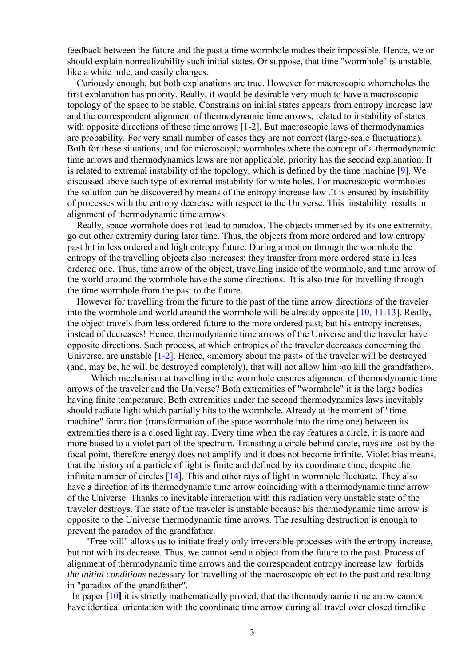feedback between the future and the past a time wormhole makes their impossible. Hence, we or should explain nonrealizability such initial states. Or suppose, that time "wormhole" is unstable, like a white hole, and easily changes.

 Curiously enough, but both explanations are true. However for macroscopic whomeholes the first explanation has priority. Really, it would be desirable very much to have a macroscopic topology of the space to be stable. Constrains on initial states appears from entropy increase law and the correspondent alignment of thermodynamic time arrows, related to instability of states with opposite directions of these time arrows [1-2]. But macroscopic laws of thermodynamics are probability. For very small number of cases they are not correct (large-scale fluctuations). Both for these situations, and for microscopic wormholes where the concept of a thermodynamic time arrows and thermodynamics laws are not applicable, priority has the second explanation. It is related to extremal instability of the topology, which is defined by the time machine [9]. We discussed above such type of extremal instability for white holes. For macroscopic wormholes the solution can be discovered by means of the entropy increase law .It is ensured by instability of processes with the entropy decrease with respect to the Universe. This instability results in alignment of thermodynamic time arrows.

 Really, space wormhole does not lead to paradox. The objects immersed by its one extremity, go out other extremity during later time. Thus, the objects from more ordered and low entropy past hit in less ordered and high entropy future. During a motion through the wormhole the entropy of the travelling objects also increases: they transfer from more ordered state in less ordered one. Thus, time arrow of the object, travelling inside of the wormhole, and time arrow of the world around the wormhole have the same directions. It is also true for travelling through the time wormhole from the past to the future.

 However for travelling from the future to the past of the time arrow directions of the traveler into the wormhole and world around the wormhole will be already opposite [10, 11-13]. Really, the object travels from less ordered future to the more ordered past, but his entropy increases, instead of decreases! Hence, thermodynamic time arrows of the Universe and the traveler have opposite directions. Such process, at which entropies of the traveler decreases concerning the Universe, are unstable [1-2]. Hence, «memory about the past» of the traveler will be destroyed (and, may be, he will be destroyed completely), that will not allow him «to kill the grandfather».

Which mechanism at travelling in the wormhole ensures alignment of thermodynamic time arrows of the traveler and the Universe? Both extremities of "wormhole" it is the large bodies having finite temperature. Both extremities under the second thermodynamics laws inevitably should radiate light which partially hits to the wormhole. Already at the moment of "time machine" formation (transformation of the space wormhole into the time one) between its extremities there is a closed light ray. Every time when the ray features a circle, it is more and more biased to a violet part of the spectrum. Transiting a circle behind circle, rays are lost by the focal point, therefore energy does not amplify and it does not become infinite. Violet bias means, that the history of a particle of light is finite and defined by its coordinate time, despite the infinite number of circles [14]. This and other rays of light in wormhole fluctuate. They also have a direction of its thermodynamic time arrow coinciding with a thermodynamic time arrow of the Universe. Thanks to inevitable interaction with this radiation very unstable state of the traveler destroys. The state of the traveler is unstable because his thermodynamic time arrow is opposite to the Universe thermodynamic time arrows. The resulting destruction is enough to prevent the paradox of the grandfather.

 "Free will" allows us to initiate freely only irreversible processes with the entropy increase, but not with its decrease. Thus, we cannot send a object from the future to the past. Process of alignment of thermodynamic time arrows and the correspondent entropy increase law forbids *the initial conditions* necessary for travelling of the macroscopic object to the past and resulting in "paradox of the grandfather".

 In paper **[**10**]** it is strictly mathematically proved, that the thermodynamic time arrow cannot have identical orientation with the coordinate time arrow during all travel over closed timelike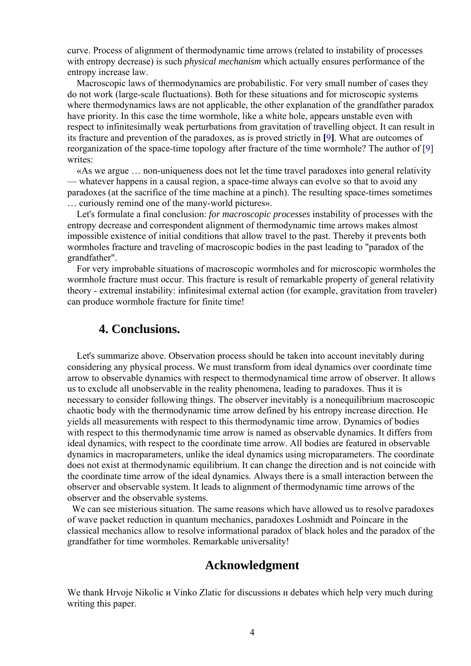curve. Process of alignment of thermodynamic time arrows (related to instability of processes with entropy decrease) is such *physical mechanism* which actually ensures performance of the entropy increase law.

 Macroscopic laws of thermodynamics are probabilistic. For very small number of cases they do not work (large-scale fluctuations). Both for these situations and for microscopic systems where thermodynamics laws are not applicable, the other explanation of the grandfather paradox have priority. In this case the time wormhole, like a white hole, appears unstable even with respect to infinitesimally weak perturbations from gravitation of travelling object. It can result in its fracture and prevention of the paradoxes, as is proved strictly in **[**9**]**. What are outcomes of reorganization of the space-time topology after fracture of the time wormhole? The author of [9] writes:

 «As we argue … non-uniqueness does not let the time travel paradoxes into general relativity — whatever happens in a causal region, a space-time always can evolve so that to avoid any paradoxes (at the sacrifice of the time machine at a pinch). The resulting space-times sometimes … curiously remind one of the many-world pictures».

 Let's formulate a final conclusion: *for macroscopic processes* instability of processes with the entropy decrease and correspondent alignment of thermodynamic time arrows makes almost impossible existence of initial conditions that allow travel to the past. Thereby it prevents both wormholes fracture and traveling of macroscopic bodies in the past leading to "paradox of the grandfather".

 For very improbable situations of macroscopic wormholes and for microscopic wormholes the wormhole fracture must occur. This fracture is result of remarkable property of general relativity theory - extremal instability: infinitesimal external action (for example, gravitation from traveler) can produce wormhole fracture for finite time!

### **4. Conclusions.**

 Let's summarize above. Observation process should be taken into account inevitably during considering any physical process. We must transform from ideal dynamics over coordinate time arrow to observable dynamics with respect to thermodynamical time arrow of observer. It allows us to exclude all unobservable in the reality phenomena, leading to paradoxes. Thus it is necessary to consider following things. The observer inevitably is a nonequilibrium macroscopic chaotic body with the thermodynamic time arrow defined by his entropy increase direction. He yields all measurements with respect to this thermodynamic time arrow. Dynamics of bodies with respect to this thermodynamic time arrow is named as observable dynamics. It differs from ideal dynamics, with respect to the coordinate time arrow. All bodies are featured in observable dynamics in macroparameters, unlike the ideal dynamics using microparameters. The coordinate does not exist at thermodynamic equilibrium. It can change the direction and is not coincide with the coordinate time arrow of the ideal dynamics. Always there is a small interaction between the observer and observable system. It leads to alignment of thermodynamic time arrows of the observer and the observable systems.

We can see misterious situation. The same reasons which have allowed us to resolve paradoxes of wave packet reduction in quantum mechanics, paradoxes Loshmidt and Poincare in the classical mechanics allow to resolve informational paradox of black holes and the paradox of the grandfather for time wormholes. Remarkable universality!

## **Acknowledgment**

We thank Hrvoje Nikolic *и* Vinko Zlatic for discussions *и* debates which help very much during writing this paper.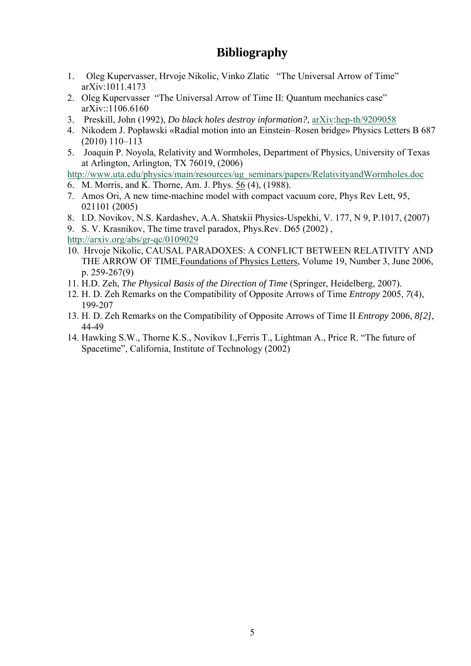# **Bibliography**

- 1. Oleg Kupervasser, Hrvoje Nikolic, Vinko Zlatic "The Universal Arrow of Time" arXiv:1011.4173
- 2. Oleg Kupervasser "The Universal Arrow of Time II: Quantum mechanics case" arXiv::1106.6160
- 3. Preskill, John (1992), *Do black holes destroy information?*, arXiv:hep-th/9209058
- 4. Nikodem J. Popławski «Radial motion into an Einstein–Rosen bridge» Physics Letters B 687 (2010) 110–113
- 5. Joaquin P. Noyola, Relativity and Wormholes, Department of Physics, University of Texas at Arlington, Arlington, TX 76019, (2006)

http://www.uta.edu/physics/main/resources/ug\_seminars/papers/RelativityandWormholes.doc

- 6. M. Morris, and K. Thorne, Am. J. Phys. 56 (4), (1988).
- 7. Amos Ori, A new time-machine model with compact vacuum core, Phys Rev Lett, 95, 021101 (2005)
- 8. I.D. Novikov, N.S. Kardashev, A.A. Shatskii Physics-Uspekhi, V. 177, N 9, P.1017, (2007)
- 9. S. V. Krasnikov, The time travel paradox, Phys.Rev. D65 (2002) ,

http://arxiv.org/abs/gr-qc/0109029

- 10. Hrvoje Nikolic, CAUSAL PARADOXES: A CONFLICT BETWEEN RELATIVITY AND THE ARROW OF TIME,Foundations of Physics Letters, Volume 19, Number 3, June 2006, p. 259-267(9)
- 11. H.D. Zeh, *The Physical Basis of the Direction of Time* (Springer, Heidelberg, 2007).
- 12. H. D. Zeh Remarks on the Compatibility of Opposite Arrows of Time *Entropy* 2005, *7*(4), 199-207
- 13. H. D. Zeh Remarks on the Compatibility of Opposite Arrows of Time II *Entropy* 2006, *8[2]*, 44-49
- 14. Hawking S.W., Thorne K.S., Novikov I.,Ferris T., Lightman A., Price R. "The future of Spacetime", California, Institute of Technology (2002)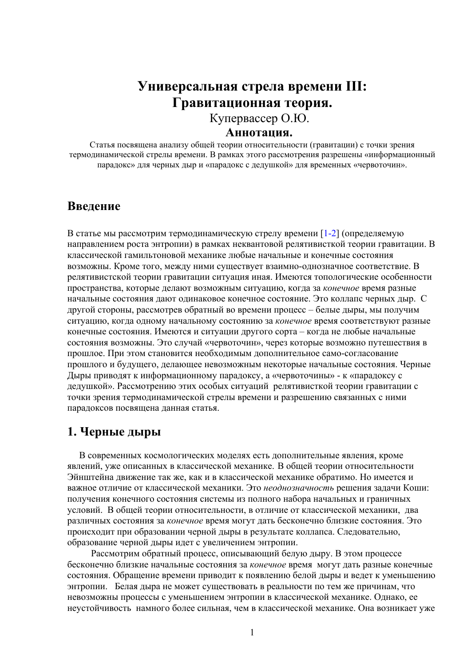# **Универсальная стрела времени III: Гравитационная теория.**  Купервассер О.Ю. **Аннотация.**

Статья посвящена анализу общей теории относительности (гравитации) с точки зрения термодинамической стрелы времени. В рамках этого рассмотрения разрешены «информационный парадокс» для черных дыр и «парадокс с дедушкой» для временных «червоточин».

## **Введение**

В статье мы рассмотрим термодинамическую стрелу времени [1-2] (определяемую направлением роста энтропии) в рамках неквантовой релятивисткой теории гравитации. В классической гамильтоновой механике любые начальные и конечные состояния возможны. Кроме того, между ними существует взаимно-однозначное соответствие. В релятивистской теории гравитации ситуация иная. Имеются топологические особенности пространства, которые делают возможным ситуацию, когда за *конечное* время разные начальные состояния дают одинаковое конечное состояние. Это коллапс черных дыр. С другой стороны, рассмотрев обратный во времени процесс – белые дыры, мы получим ситуацию, когда одному начальному состоянию за *конечное* время соответствуют разные конечные состояния. Имеются и ситуации другого сорта – когда не любые начальные состояния возможны. Это случай «червоточин», через которые возможно путешествия в прошлое. При этом становится необходимым дополнительное само-согласование прошлого и будущего, делающее невозможным некоторые начальные состояния. Черные Дыры приводят к информационному парадоксу, а «червоточины» - к «парадоксу с дедушкой». Рассмотрению этих особых ситуаций релятивисткой теории гравитации с точки зрения термодинамической стрелы времени и разрешению связанных с ними парадоксов посвящена данная статья.

## **1. Черные дыры**

 В современных космологических моделях есть дополнительные явления, кроме явлений, уже описанных в классической механике. В общей теории относительности Эйнштейна движение так же, как и в классической механике обратимо. Но имеется и важное отличие от классической механики. Это *неоднозначность* решения задачи Коши: получения конечного состояния системы из полного набора начальных и граничных условий. В общей теории относительности, в отличие от классической механики, два различных состояния за *конечное* время могут дать бесконечно близкие состояния. Это происходит при образовании черной дыры в результате коллапса. Следовательно, образование черной дыры идет с увеличением энтропии.

 Рассмотрим обратный процесс, описывающий белую дыру. В этом процессе бесконечно близкие начальные состояния за *конечное* время могут дать разные конечные состояния. Обращение времени приводит к появлению белой дыры и ведет к уменьшению энтропии. Белая дыра не может существовать в реальности по тем же причинам, что невозможны процессы с уменьшением энтропии в классической механике. Однако, ее неустойчивость намного более сильная, чем в классической механике. Она возникает уже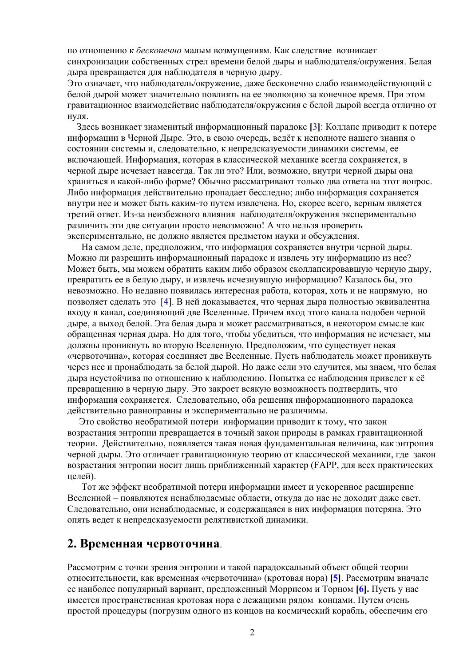по отношению к *бесконечно* малым возмущениям. Как следствие возникает синхронизации собственных стрел времени белой дыры и наблюдателя/окружения. Белая дыра превращается для наблюдателя в черную дыру.

Это означает, что наблюдатель/окружение, даже бесконечно слабо взаимодействующий с белой дырой может значительно повлиять на ее эволюцию за конечное время. При этом гравитационное взаимодействие наблюдателя/окружения с белой дырой всегда отлично от нуля.

 Здесь возникает знаменитый информационный парадокс **[**3**]**: Коллапс приводит к потере информации в Черной Дыре. Это, в свою очередь, ведёт к неполноте нашего знания о состоянии системы и, следовательно, к непредсказуемости динамики системы, ее включающей. Информация, которая в классической механике всегда сохраняется, в черной дыре исчезает навсегда. Так ли это? Или, возможно, внутри черной дыры она храниться в какой-либо форме? Обычно рассматривают только два ответа на этот вопрос. Либо информация действительно пропадает бесследно; либо информация сохраняется внутри нее и может быть каким-то путем извлечена. Но, скорее всего, верным является третий ответ. Из-за неизбежного влияния наблюдателя/окружения экспериментально различить эти две ситуации просто невозможно! А что нельзя проверить экспериментально, не должно является предметом науки и обсуждения.

 На самом деле, предположим, что информация сохраняется внутри черной дыры. Можно ли разрешить информационный парадокс и извлечь эту информацию из нее? Может быть, мы можем обратить каким либо образом сколлапсировавшую черную дыру, превратить ее в белую дыру, и извлечь исчезнувшую информацию? Казалось бы, это невозможно. Но недавно появилась интересная работа, которая, хоть и не напрямую, но позволяет сделать это [4]. В ней доказывается, что черная дыра полностью эквивалентна входу в канал, соединяющий две Вселенные. Причем вход этого канала подобен черной дыре, а выход белой. Эта белая дыра и может рассматриваться, в некотором смысле как обращенная черная дыра. Но для того, чтобы убедиться, что информация не исчезает, мы должны проникнуть во вторую Вселенную. Предположим, что существует некая «червоточина», которая соединяет две Вселенные. Пусть наблюдатель может проникнуть через нее и пронаблюдать за белой дырой. Но даже если это случится, мы знаем, что белая дыра неустойчива по отношению к наблюдению. Попытка ее наблюдения приведет к её превращению в черную дыру. Это закроет всякую возможность подтвердить, что информация сохраняется. Следовательно, оба решения информационного парадокса действительно равноправны и экспериментально не различимы.

 Это свойство необратимой потери информации приводит к тому, что закон возрастания энтропии превращается в точный закон природы в рамках гравитационной теории. Действительно, появляется такая новая фундаментальная величина, как энтропия черной дыры. Это отличает гравитационную теорию от классической механики, где закон возрастания энтропии носит лишь приближенный характер (FAPP, для всех практических целей).

 Тот же эффект необратимой потери информации имеет и ускоренное расширение Вселенной – появляются ненаблюдаемые области, откуда до нас не доходит даже свет. Следовательно, они ненаблюдаемые, и содержащаяся в них информация потеряна. Это опять ведет к непредсказуемости релятивисткой динамики.

#### **2. Временная червоточина**.

Рассмотрим с точки зрения энтропии и такой парадоксальный объект общей теории относительности, как временная «червоточина» (кротовая нора) **[5]**. Рассмотрим вначале ее наиболее популярный вариант, предложенный Моррисом и Торном **[6].** Пусть у нас имеется пространственная кротовая нора с лежащими рядом концами. Путем очень простой процедуры (погрузим одного из концов на космический корабль, обеспечим его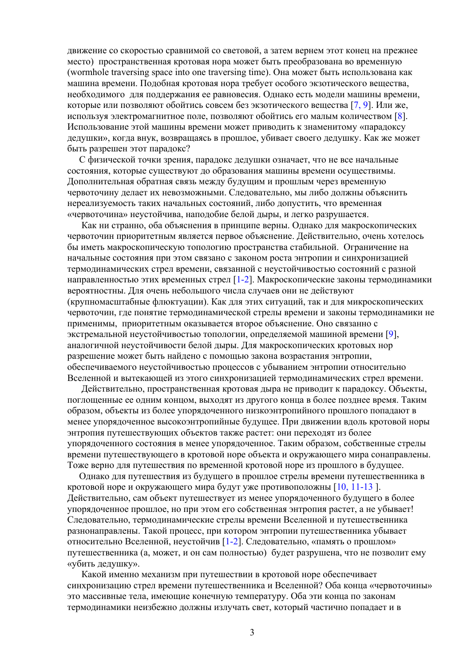движение со скоростью сравнимой со световой, а затем вернем этот конец на прежнее место) пространственная кротовая нора может быть преобразована во временную (wormhole traversing space into one traversing time). Она может быть использована как машина времени. Подобная кротовая нора требует особого экзотического вещества, необходимого для поддержания ее равновесия. Однако есть модели машины времени, которые или позволяют обойтись совсем без экзотического вещества [7, 9]. Или же, используя электромагнитное поле, позволяют обойтись его малым количеством [8]. Использование этой машины времени может приводить к знаменитому «парадоксу дедушки», когда внук, возвращаясь в прошлое, убивает своего дедушку. Как же может быть разрешен этот парадокс?

 С физической точки зрения, парадокс дедушки означает, что не все начальные состояния, которые существуют до образования машины времени осуществимы. Дополнительная обратная связь между будущим и прошлым через временную червоточину делает их невозможными. Следовательно, мы либо должны объяснить нереализуемость таких начальных состояний, либо допустить, что временная «червоточина» неустойчива, наподобие белой дыры, и легко разрушается.

 Как ни странно, оба объяснения в принципе верны. Однако для макроскопических червоточин приоритетным является первое объяснение. Действительно, очень хотелось бы иметь макроскопическую топологию пространства стабильной. Ограничение на начальные состояния при этом связано с законом роста энтропии и синхронизацией термодинамических стрел времени, связанной с неустойчивостью состояний с разной направленностью этих временных стрел  $[1-2]$ . Макроскопические законы термодинамики вероятностны. Для очень небольшого числа случаев они не действуют (крупномасштабные флюктуации). Как для этих ситуаций, так и для микроскопических червоточин, где понятие термодинамической стрелы времени и законы термодинамики не применимы, приоритетным оказывается второе объяснение. Оно связанно с экстремальной неустойчивостью топологии, определяемой машиной времени [9], аналогичной неустойчивости белой дыры. Для макроскопических кротовых нор разрешение может быть найдено с помощью закона возрастания энтропии, обеспечиваемого неустойчивостью процессов с убыванием энтропии относительно Вселенной и вытекающей из этого синхронизацией термодинамических стрел времени.

 Действительно, пространственная кротовая дыра не приводит к парадоксу. Объекты, поглощенные ее одним концом, выходят из другого конца в более позднее время. Таким образом, объекты из более упорядоченного низкоэнтропийного прошлого попадают в менее упорядоченное высокоэнтропийные будущее. При движении вдоль кротовой норы энтропия путешествующих объектов также растет: они переходят из более упорядоченного состояния в менее упорядоченное. Таким образом, собственные стрелы времени путешествующего в кротовой норе объекта и окружающего мира сонаправлены. Тоже верно для путешествия по временной кротовой норе из прошлого в будущее.

 Однако для путешествия из будущего в прошлое стрелы времени путешественника в кротовой норе и окружающего мира будут уже противоположны [10, 11-13 ]. Действительно, сам объект путешествует из менее упорядоченного будущего в более упорядоченное прошлое, но при этом его собственная энтропия растет, а не убывает! Следовательно, термодинамические стрелы времени Вселенной и путешественника разнонаправлены. Такой процесс, при котором энтропии путешественника убывает относительно Вселенной, неустойчив [1-2]. Следовательно, «память о прошлом» путешественника (а, может, и он сам полностью) будет разрушена, что не позволит ему «убить дедушку».

 Какой именно механизм при путешествии в кротовой норе обеспечивает синхронизацию стрел времени путешественника и Вселенной? Оба конца «червоточины» это массивные тела, имеющие конечную температуру. Оба эти конца по законам термодинамики неизбежно должны излучать свет, который частично попадает и в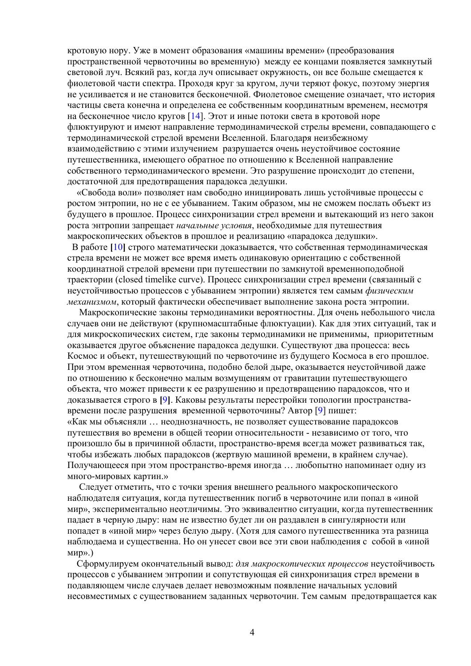кротовую нору. Уже в момент образования «машины времени» (преобразования пространственной червоточины во временную) между ее концами появляется замкнутый световой луч. Всякий раз, когда луч описывает окружность, он все больше смещается к фиолетовой части спектра. Проходя круг за кругом, лучи теряют фокус, поэтому энергия не усиливается и не становится бесконечной. Фиолетовое смещение означает, что история частицы света конечна и определена ее собственным координатным временем, несмотря на бесконечное число кругов [14]. Этот и иные потоки света в кротовой норе флюктуируют и имеют направление термодинамической стрелы времени, совпадающего с термодинамической стрелой времени Вселенной. Благодаря неизбежному взаимодействию с этими излучением разрушается очень неустойчивое состояние путешественника, имеющего обратное по отношению к Вселенной направление собственного термодинамического времени. Это разрушение происходит до степени, достаточной для предотвращения парадокса дедушки.

 «Свобода воли» позволяет нам свободно инициировать лишь устойчивые процессы с ростом энтропии, но не с ее убыванием. Таким образом, мы не сможем послать объект из будущего в прошлое. Процесс синхронизации стрел времени и вытекающий из него закон роста энтропии запрещает *начальные условия*, необходимые для путешествия макроскопических объектов в прошлое и реализацию «парадокса дедушки».

 В работе **[**10**]** строго математически доказывается, что собственная термодинамическая стрела времени не может все время иметь одинаковую ориентацию с собственной координатной стрелой времени при путешествии по замкнутой временноподобной траектории (closed timelike curve). Процесс синхронизации стрел времени (связанный с неустойчивостью процессов с убыванием энтропии) является тем самым *физическим механизмом*, который фактически обеспечивает выполнение закона роста энтропии.

 Макроскопические законы термодинамики вероятностны. Для очень небольшого числа случаев они не действуют (крупномасштабные флюктуации). Как для этих ситуаций, так и для микроскопических систем, где законы термодинамики не применимы, приоритетным оказывается другое объяснение парадокса дедушки. Существуют два процесса: весь Космос и объект, путешествующий по червоточине из будущего Космоса в его прошлое. При этом временная червоточина, подобно белой дыре, оказывается неустойчивой даже по отношению к бесконечно малым возмущениям от гравитации путешествующего объекта, что может привести к ее разрушению и предотвращению парадоксов, что и доказывается строго в **[**9**]**. Каковы результаты перестройки топологии пространствавремени после разрушения временной червоточины? Автор [9] пишет: «Как мы объясняли … неоднозначность, не позволяет существование парадоксов путешествия во времени в общей теории относительности - независимо от того, что произошло бы в причинной области, пространство-время всегда может развиваться так, чтобы избежать любых парадоксов (жертвую машиной времени, в крайнем случае). Получающееся при этом пространство-время иногда … любопытно напоминает одну из много-мировых картин.»

 Следует отметить, что с точки зрения внешнего реального макроскопического наблюдателя ситуация, когда путешественник погиб в червоточине или попал в «иной мир», экспериментально неотличимы. Это эквивалентно ситуации, когда путешественник падает в черную дыру: нам не известно будет ли он раздавлен в сингулярности или попадет в «иной мир» через белую дыру. (Хотя для самого путешественника эта разница наблюдаема и существенна. Но он унесет свои все эти свои наблюдения с собой в «иной мир».)

 Сформулируем окончательный вывод: *для макроскопических процессов* неустойчивость процессов с убыванием энтропии и сопутствующая ей синхронизация стрел времени в подавляющем числе случаев делает невозможным появление начальных условий несовместимых с существованием заданных червоточин. Тем самым предотвращается как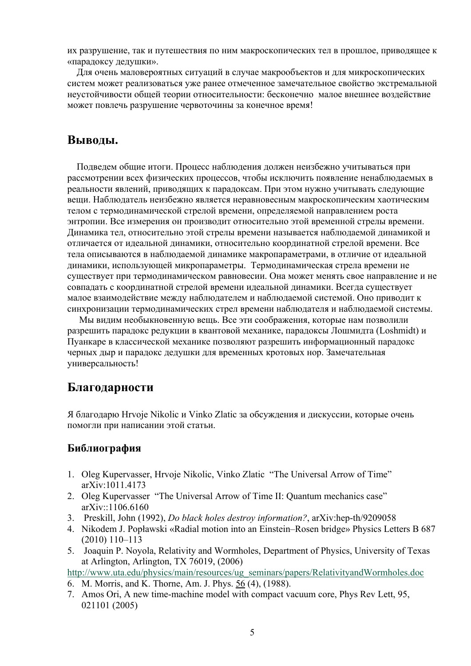их разрушение, так и путешествия по ним макроскопических тел в прошлое, приводящее к «парадоксу дедушки».

 Для очень маловероятных ситуаций в случае макрообъектов и для микроскопических систем может реализоваться уже ранее отмеченное замечательное свойство экстремальной неустойчивости общей теории относительности: бесконечно малое внешнее воздействие может повлечь разрушение червоточины за конечное время!

## **Выводы.**

 Подведем общие итоги. Процесс наблюдения должен неизбежно учитываться при рассмотрении всех физических процессов, чтобы исключить появление ненаблюдаемых в реальности явлений, приводящих к парадоксам. При этом нужно учитывать следующие вещи. Наблюдатель неизбежно является неравновесным макроскопическим хаотическим телом с термодинамической стрелой времени, определяемой направлением роста энтропии. Все измерения он производит относительно этой временной стрелы времени. Динамика тел, относительно этой стрелы времени называется наблюдаемой динамикой и отличается от идеальной динамики, относительно координатной стрелой времени. Все тела описываются в наблюдаемой динамике макропараметрами, в отличие от идеальной динамики, использующей микропараметры. Термодинамическая стрела времени не существует при термодинамическом равновесии. Она может менять свое направление и не совпадать с координатной стрелой времени идеальной динамики. Всегда существует малое взаимодействие между наблюдателем и наблюдаемой системой. Оно приводит к синхронизации термодинамических стрел времени наблюдателя и наблюдаемой системы.

 Мы видим необыкновенную вещь. Все эти соображения, которые нам позволили разрешить парадокс редукции в квантовой механике, парадоксы Лошмидта (Loshmidt) и Пуанкаре в классической механике позволяют разрешить информационный парадокс черных дыр и парадокс дедушки для временных кротовых нор. Замечательная универсальность!

## **Благодарности**

Я благодарю Hrvoje Nikolic и Vinko Zlatic за обсуждения и дискуссии, которые очень помогли при написании этой статьи.

### **Библиография**

- 1. Oleg Kupervasser, Hrvoje Nikolic, Vinko Zlatic "The Universal Arrow of Time" arXiv:1011.4173
- 2. Oleg Kupervasser "The Universal Arrow of Time II: Quantum mechanics case"  $arXiv$ <sup> $-1106.6160$ </sup>
- 3. Preskill, John (1992), *Do black holes destroy information?*, arXiv:hep-th/9209058
- 4. Nikodem J. Popławski «Radial motion into an Einstein–Rosen bridge» Physics Letters B 687 (2010) 110–113
- 5. Joaquin P. Noyola, Relativity and Wormholes, Department of Physics, University of Texas at Arlington, Arlington, TX 76019, (2006)

http://www.uta.edu/physics/main/resources/ug\_seminars/papers/RelativityandWormholes.doc

- 6. M. Morris, and K. Thorne, Am. J. Phys. 56 (4), (1988).
- 7. Amos Ori, A new time-machine model with compact vacuum core, Phys Rev Lett, 95, 021101 (2005)